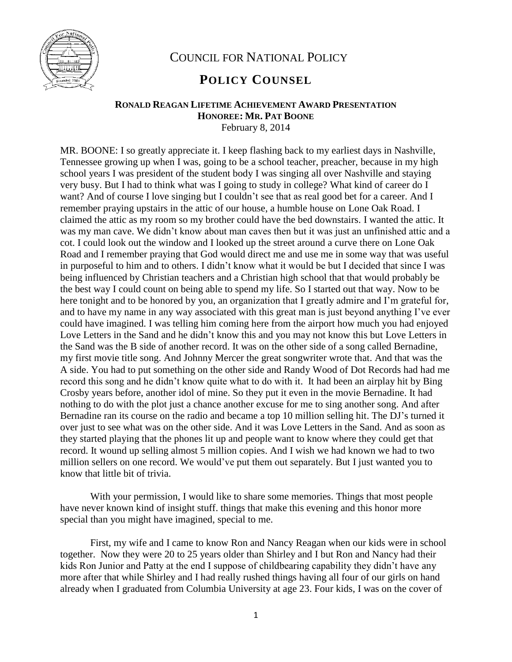

## COUNCIL FOR NATIONAL POLICY

## **POLICY COUNSEL**

## **RONALD REAGAN LIFETIME ACHIEVEMENT AWARD PRESENTATION HONOREE: MR. PAT BOONE**

February 8, 2014

MR. BOONE: I so greatly appreciate it. I keep flashing back to my earliest days in Nashville, Tennessee growing up when I was, going to be a school teacher, preacher, because in my high school years I was president of the student body I was singing all over Nashville and staying very busy. But I had to think what was I going to study in college? What kind of career do I want? And of course I love singing but I couldn't see that as real good bet for a career. And I remember praying upstairs in the attic of our house, a humble house on Lone Oak Road. I claimed the attic as my room so my brother could have the bed downstairs. I wanted the attic. It was my man cave. We didn't know about man caves then but it was just an unfinished attic and a cot. I could look out the window and I looked up the street around a curve there on Lone Oak Road and I remember praying that God would direct me and use me in some way that was useful in purposeful to him and to others. I didn't know what it would be but I decided that since I was being influenced by Christian teachers and a Christian high school that that would probably be the best way I could count on being able to spend my life. So I started out that way. Now to be here tonight and to be honored by you, an organization that I greatly admire and I'm grateful for, and to have my name in any way associated with this great man is just beyond anything I've ever could have imagined. I was telling him coming here from the airport how much you had enjoyed Love Letters in the Sand and he didn't know this and you may not know this but Love Letters in the Sand was the B side of another record. It was on the other side of a song called Bernadine, my first movie title song. And Johnny Mercer the great songwriter wrote that. And that was the A side. You had to put something on the other side and Randy Wood of Dot Records had had me record this song and he didn't know quite what to do with it. It had been an airplay hit by Bing Crosby years before, another idol of mine. So they put it even in the movie Bernadine. It had nothing to do with the plot just a chance another excuse for me to sing another song. And after Bernadine ran its course on the radio and became a top 10 million selling hit. The DJ's turned it over just to see what was on the other side. And it was Love Letters in the Sand. And as soon as they started playing that the phones lit up and people want to know where they could get that record. It wound up selling almost 5 million copies. And I wish we had known we had to two million sellers on one record. We would've put them out separately. But I just wanted you to know that little bit of trivia.

With your permission, I would like to share some memories. Things that most people have never known kind of insight stuff. things that make this evening and this honor more special than you might have imagined, special to me.

First, my wife and I came to know Ron and Nancy Reagan when our kids were in school together. Now they were 20 to 25 years older than Shirley and I but Ron and Nancy had their kids Ron Junior and Patty at the end I suppose of childbearing capability they didn't have any more after that while Shirley and I had really rushed things having all four of our girls on hand already when I graduated from Columbia University at age 23. Four kids, I was on the cover of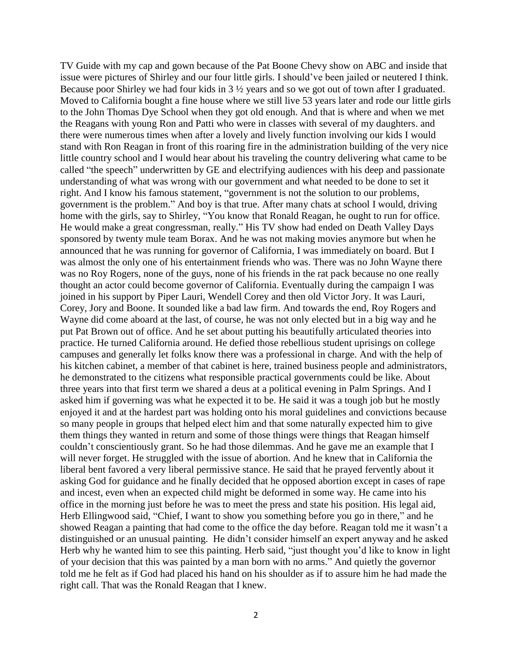TV Guide with my cap and gown because of the Pat Boone Chevy show on ABC and inside that issue were pictures of Shirley and our four little girls. I should've been jailed or neutered I think. Because poor Shirley we had four kids in 3 ½ years and so we got out of town after I graduated. Moved to California bought a fine house where we still live 53 years later and rode our little girls to the John Thomas Dye School when they got old enough. And that is where and when we met the Reagans with young Ron and Patti who were in classes with several of my daughters. and there were numerous times when after a lovely and lively function involving our kids I would stand with Ron Reagan in front of this roaring fire in the administration building of the very nice little country school and I would hear about his traveling the country delivering what came to be called "the speech" underwritten by GE and electrifying audiences with his deep and passionate understanding of what was wrong with our government and what needed to be done to set it right. And I know his famous statement, "government is not the solution to our problems, government is the problem." And boy is that true. After many chats at school I would, driving home with the girls, say to Shirley, "You know that Ronald Reagan, he ought to run for office. He would make a great congressman, really." His TV show had ended on Death Valley Days sponsored by twenty mule team Borax. And he was not making movies anymore but when he announced that he was running for governor of California, I was immediately on board. But I was almost the only one of his entertainment friends who was. There was no John Wayne there was no Roy Rogers, none of the guys, none of his friends in the rat pack because no one really thought an actor could become governor of California. Eventually during the campaign I was joined in his support by Piper Lauri, Wendell Corey and then old Victor Jory. It was Lauri, Corey, Jory and Boone. It sounded like a bad law firm. And towards the end, Roy Rogers and Wayne did come aboard at the last, of course, he was not only elected but in a big way and he put Pat Brown out of office. And he set about putting his beautifully articulated theories into practice. He turned California around. He defied those rebellious student uprisings on college campuses and generally let folks know there was a professional in charge. And with the help of his kitchen cabinet, a member of that cabinet is here, trained business people and administrators, he demonstrated to the citizens what responsible practical governments could be like. About three years into that first term we shared a deus at a political evening in Palm Springs. And I asked him if governing was what he expected it to be. He said it was a tough job but he mostly enjoyed it and at the hardest part was holding onto his moral guidelines and convictions because so many people in groups that helped elect him and that some naturally expected him to give them things they wanted in return and some of those things were things that Reagan himself couldn't conscientiously grant. So he had those dilemmas. And he gave me an example that I will never forget. He struggled with the issue of abortion. And he knew that in California the liberal bent favored a very liberal permissive stance. He said that he prayed fervently about it asking God for guidance and he finally decided that he opposed abortion except in cases of rape and incest, even when an expected child might be deformed in some way. He came into his office in the morning just before he was to meet the press and state his position. His legal aid, Herb Ellingwood said, "Chief, I want to show you something before you go in there," and he showed Reagan a painting that had come to the office the day before. Reagan told me it wasn't a distinguished or an unusual painting. He didn't consider himself an expert anyway and he asked Herb why he wanted him to see this painting. Herb said, "just thought you'd like to know in light of your decision that this was painted by a man born with no arms." And quietly the governor told me he felt as if God had placed his hand on his shoulder as if to assure him he had made the right call. That was the Ronald Reagan that I knew.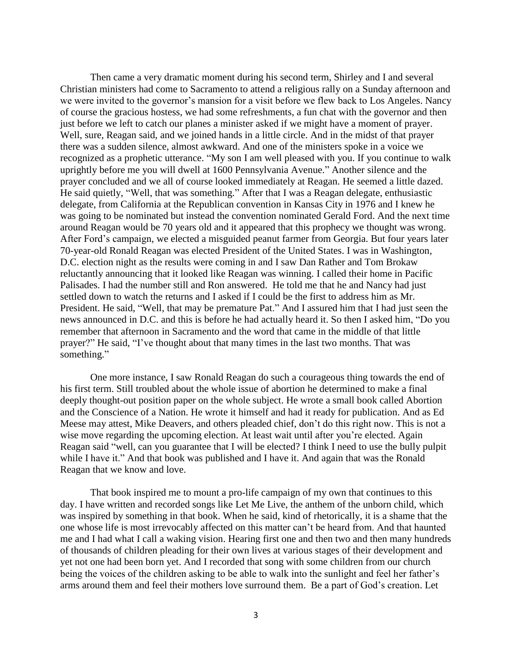Then came a very dramatic moment during his second term, Shirley and I and several Christian ministers had come to Sacramento to attend a religious rally on a Sunday afternoon and we were invited to the governor's mansion for a visit before we flew back to Los Angeles. Nancy of course the gracious hostess, we had some refreshments, a fun chat with the governor and then just before we left to catch our planes a minister asked if we might have a moment of prayer. Well, sure, Reagan said, and we joined hands in a little circle. And in the midst of that prayer there was a sudden silence, almost awkward. And one of the ministers spoke in a voice we recognized as a prophetic utterance. "My son I am well pleased with you. If you continue to walk uprightly before me you will dwell at 1600 Pennsylvania Avenue." Another silence and the prayer concluded and we all of course looked immediately at Reagan. He seemed a little dazed. He said quietly, "Well, that was something." After that I was a Reagan delegate, enthusiastic delegate, from California at the Republican convention in Kansas City in 1976 and I knew he was going to be nominated but instead the convention nominated Gerald Ford. And the next time around Reagan would be 70 years old and it appeared that this prophecy we thought was wrong. After Ford's campaign, we elected a misguided peanut farmer from Georgia. But four years later 70-year-old Ronald Reagan was elected President of the United States. I was in Washington, D.C. election night as the results were coming in and I saw Dan Rather and Tom Brokaw reluctantly announcing that it looked like Reagan was winning. I called their home in Pacific Palisades. I had the number still and Ron answered. He told me that he and Nancy had just settled down to watch the returns and I asked if I could be the first to address him as Mr. President. He said, "Well, that may be premature Pat." And I assured him that I had just seen the news announced in D.C. and this is before he had actually heard it. So then I asked him, "Do you remember that afternoon in Sacramento and the word that came in the middle of that little prayer?" He said, "I've thought about that many times in the last two months. That was something."

One more instance, I saw Ronald Reagan do such a courageous thing towards the end of his first term. Still troubled about the whole issue of abortion he determined to make a final deeply thought-out position paper on the whole subject. He wrote a small book called Abortion and the Conscience of a Nation. He wrote it himself and had it ready for publication. And as Ed Meese may attest, Mike Deavers, and others pleaded chief, don't do this right now. This is not a wise move regarding the upcoming election. At least wait until after you're elected. Again Reagan said "well, can you guarantee that I will be elected? I think I need to use the bully pulpit while I have it." And that book was published and I have it. And again that was the Ronald Reagan that we know and love.

That book inspired me to mount a pro-life campaign of my own that continues to this day. I have written and recorded songs like Let Me Live, the anthem of the unborn child, which was inspired by something in that book. When he said, kind of rhetorically, it is a shame that the one whose life is most irrevocably affected on this matter can't be heard from. And that haunted me and I had what I call a waking vision. Hearing first one and then two and then many hundreds of thousands of children pleading for their own lives at various stages of their development and yet not one had been born yet. And I recorded that song with some children from our church being the voices of the children asking to be able to walk into the sunlight and feel her father's arms around them and feel their mothers love surround them. Be a part of God's creation. Let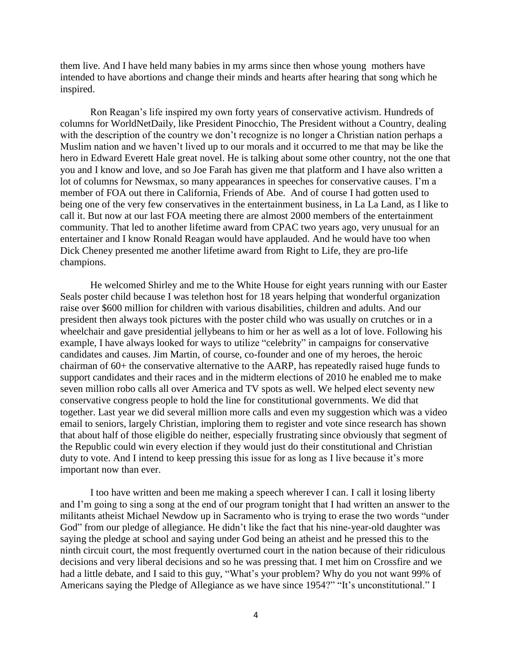them live. And I have held many babies in my arms since then whose young mothers have intended to have abortions and change their minds and hearts after hearing that song which he inspired.

Ron Reagan's life inspired my own forty years of conservative activism. Hundreds of columns for WorldNetDaily, like President Pinocchio, The President without a Country, dealing with the description of the country we don't recognize is no longer a Christian nation perhaps a Muslim nation and we haven't lived up to our morals and it occurred to me that may be like the hero in Edward Everett Hale great novel. He is talking about some other country, not the one that you and I know and love, and so Joe Farah has given me that platform and I have also written a lot of columns for Newsmax, so many appearances in speeches for conservative causes. I'm a member of FOA out there in California, Friends of Abe. And of course I had gotten used to being one of the very few conservatives in the entertainment business, in La La Land, as I like to call it. But now at our last FOA meeting there are almost 2000 members of the entertainment community. That led to another lifetime award from CPAC two years ago, very unusual for an entertainer and I know Ronald Reagan would have applauded. And he would have too when Dick Cheney presented me another lifetime award from Right to Life, they are pro-life champions.

He welcomed Shirley and me to the White House for eight years running with our Easter Seals poster child because I was telethon host for 18 years helping that wonderful organization raise over \$600 million for children with various disabilities, children and adults. And our president then always took pictures with the poster child who was usually on crutches or in a wheelchair and gave presidential jellybeans to him or her as well as a lot of love. Following his example, I have always looked for ways to utilize "celebrity" in campaigns for conservative candidates and causes. Jim Martin, of course, co-founder and one of my heroes, the heroic chairman of 60+ the conservative alternative to the AARP, has repeatedly raised huge funds to support candidates and their races and in the midterm elections of 2010 he enabled me to make seven million robo calls all over America and TV spots as well. We helped elect seventy new conservative congress people to hold the line for constitutional governments. We did that together. Last year we did several million more calls and even my suggestion which was a video email to seniors, largely Christian, imploring them to register and vote since research has shown that about half of those eligible do neither, especially frustrating since obviously that segment of the Republic could win every election if they would just do their constitutional and Christian duty to vote. And I intend to keep pressing this issue for as long as I live because it's more important now than ever.

I too have written and been me making a speech wherever I can. I call it losing liberty and I'm going to sing a song at the end of our program tonight that I had written an answer to the militants atheist Michael Newdow up in Sacramento who is trying to erase the two words "under God" from our pledge of allegiance. He didn't like the fact that his nine-year-old daughter was saying the pledge at school and saying under God being an atheist and he pressed this to the ninth circuit court, the most frequently overturned court in the nation because of their ridiculous decisions and very liberal decisions and so he was pressing that. I met him on Crossfire and we had a little debate, and I said to this guy, "What's your problem? Why do you not want 99% of Americans saying the Pledge of Allegiance as we have since 1954?" "It's unconstitutional." I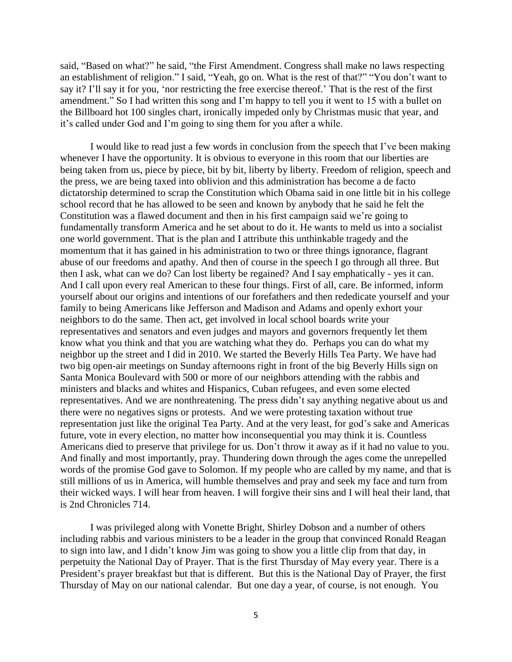said, "Based on what?" he said, "the First Amendment. Congress shall make no laws respecting an establishment of religion." I said, "Yeah, go on. What is the rest of that?" "You don't want to say it? I'll say it for you, 'nor restricting the free exercise thereof.' That is the rest of the first amendment." So I had written this song and I'm happy to tell you it went to 15 with a bullet on the Billboard hot 100 singles chart, ironically impeded only by Christmas music that year, and it's called under God and I'm going to sing them for you after a while.

I would like to read just a few words in conclusion from the speech that I've been making whenever I have the opportunity. It is obvious to everyone in this room that our liberties are being taken from us, piece by piece, bit by bit, liberty by liberty. Freedom of religion, speech and the press, we are being taxed into oblivion and this administration has become a de facto dictatorship determined to scrap the Constitution which Obama said in one little bit in his college school record that he has allowed to be seen and known by anybody that he said he felt the Constitution was a flawed document and then in his first campaign said we're going to fundamentally transform America and he set about to do it. He wants to meld us into a socialist one world government. That is the plan and I attribute this unthinkable tragedy and the momentum that it has gained in his administration to two or three things ignorance, flagrant abuse of our freedoms and apathy. And then of course in the speech I go through all three. But then I ask, what can we do? Can lost liberty be regained? And I say emphatically - yes it can. And I call upon every real American to these four things. First of all, care. Be informed, inform yourself about our origins and intentions of our forefathers and then rededicate yourself and your family to being Americans like Jefferson and Madison and Adams and openly exhort your neighbors to do the same. Then act, get involved in local school boards write your representatives and senators and even judges and mayors and governors frequently let them know what you think and that you are watching what they do. Perhaps you can do what my neighbor up the street and I did in 2010. We started the Beverly Hills Tea Party. We have had two big open-air meetings on Sunday afternoons right in front of the big Beverly Hills sign on Santa Monica Boulevard with 500 or more of our neighbors attending with the rabbis and ministers and blacks and whites and Hispanics, Cuban refugees, and even some elected representatives. And we are nonthreatening. The press didn't say anything negative about us and there were no negatives signs or protests. And we were protesting taxation without true representation just like the original Tea Party. And at the very least, for god's sake and Americas future, vote in every election, no matter how inconsequential you may think it is. Countless Americans died to preserve that privilege for us. Don't throw it away as if it had no value to you. And finally and most importantly, pray. Thundering down through the ages come the unrepelled words of the promise God gave to Solomon. If my people who are called by my name, and that is still millions of us in America, will humble themselves and pray and seek my face and turn from their wicked ways. I will hear from heaven. I will forgive their sins and I will heal their land, that is 2nd Chronicles 714.

I was privileged along with Vonette Bright, Shirley Dobson and a number of others including rabbis and various ministers to be a leader in the group that convinced Ronald Reagan to sign into law, and I didn't know Jim was going to show you a little clip from that day, in perpetuity the National Day of Prayer. That is the first Thursday of May every year. There is a President's prayer breakfast but that is different. But this is the National Day of Prayer, the first Thursday of May on our national calendar. But one day a year, of course, is not enough. You